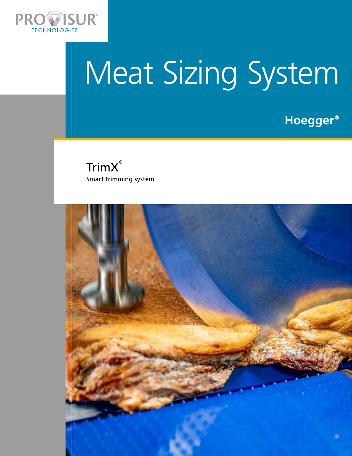

# Meat Sizing System

**Hoegger**®



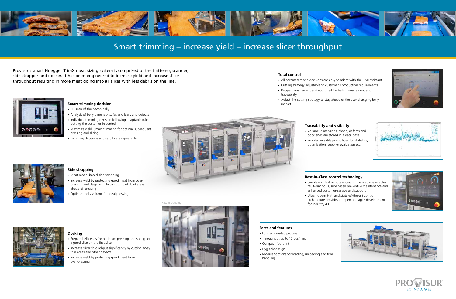Provisur's smart Hoegger TrimX meat sizing system is comprised of the flattener, scanner, side strapper and docker. It has been engineered to increase yield and increase slicer throughput resulting in more meat going into #1 slices with less debris on the line.



# **Smart trimming decision**

- 3D scan of the bacon belly
- Analysis of belly dimensions, fat and lean, and defects
- Individual trimming decision following adaptable rules putting the customer in control
- Maximize yield: Smart trimming for optimal subsequent pressing and slicing
- Trimming decisions and results are repeatable





# **Docking**

- Prepare belly ends for optimum pressing and slicing for a good slice on the first slice
- Increase slicer throughput significantly by cutting away thin areas and other defects
- Increase yield by protecting good meat from over-pressing

# **Side strapping**

- Meat model based side strapping
- Increase yield by protecting good meat from overpressing and deep wrinkle by cutting off bad areas ahead of pressing
- Optimize belly volume for ideal pressing

# **Total control**

- All parameters and decisions are easy to adapt with the HMI assistant
- Cutting strategy adjustable to customer's production requirements
- Recipe management and audit trail for belly management and traceability
- Adjust the cutting strategy to stay ahead of the ever changing belly market

# **Traceability and visibility**

- Volume, dimensions, shape, defects and dock ends are stored in a data base
- Enables versatile possibilities for statistics, optimization, supplier evaluation etc.

**Facts and features**

- Fully automated process
- Throughput up to 15 pcs/min.
- Compact footprint
- Hygienic design
- Modular options for loading, unloading and trim handling





# Patent pending





# Smart trimming – increase yield – increase slicer throughput

# **Best-In-Class control technology**

- Simple and fast remote access to the machine enables fault-diagnosis, supervised preventive maintenance and enhanced customer-service and support
- Ultramodern HMI and state-of-the-art control for industry 4.0

- 
- 

architecture provides an open and agile development